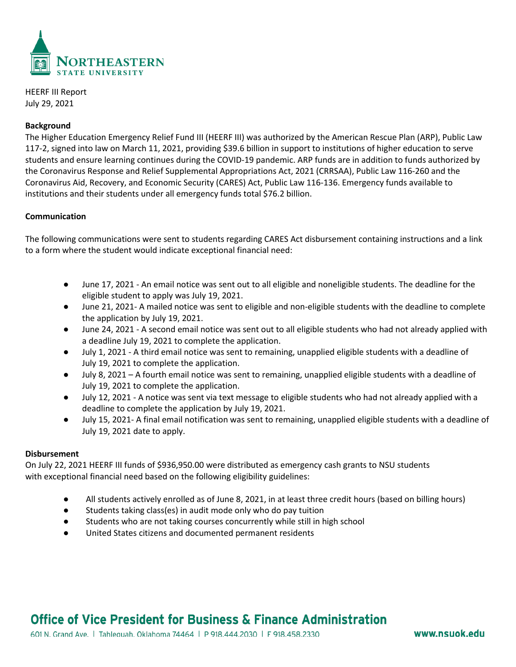

HEERF III Report July 29, 2021

## **Background**

The Higher Education Emergency Relief Fund III (HEERF III) was authorized by the American Rescue Plan (ARP), Public Law 117-2, signed into law on March 11, 2021, providing \$39.6 billion in support to institutions of higher education to serve students and ensure learning continues during the COVID-19 pandemic. ARP funds are in addition to funds authorized by the Coronavirus Response and Relief Supplemental Appropriations Act, 2021 (CRRSAA), Public Law 116-260 and the Coronavirus Aid, Recovery, and Economic Security (CARES) Act, Public Law 116-136. Emergency funds available to institutions and their students under all emergency funds total \$76.2 billion.

## **Communication**

The following communications were sent to students regarding CARES Act disbursement containing instructions and a link to a form where the student would indicate exceptional financial need:

- June 17, 2021 An email notice was sent out to all eligible and noneligible students. The deadline for the eligible student to apply was July 19, 2021.
- June 21, 2021- A mailed notice was sent to eligible and non-eligible students with the deadline to complete the application by July 19, 2021.
- June 24, 2021 A second email notice was sent out to all eligible students who had not already applied with a deadline July 19, 2021 to complete the application.
- July 1, 2021 A third email notice was sent to remaining, unapplied eligible students with a deadline of July 19, 2021 to complete the application.
- July 8, 2021 A fourth email notice was sent to remaining, unapplied eligible students with a deadline of July 19, 2021 to complete the application.
- July 12, 2021 A notice was sent via text message to eligible students who had not already applied with a deadline to complete the application by July 19, 2021.
- July 15, 2021- A final email notification was sent to remaining, unapplied eligible students with a deadline of July 19, 2021 date to apply.

#### **Disbursement**

On July 22, 2021 HEERF III funds of \$936,950.00 were distributed as emergency cash grants to NSU students with exceptional financial need based on the following eligibility guidelines:

- All students actively enrolled as of June 8, 2021, in at least three credit hours (based on billing hours)
- Students taking class(es) in audit mode only who do pay tuition
- Students who are not taking courses concurrently while still in high school
- United States citizens and documented permanent residents

# Office of Vice President for Business & Finance Administration